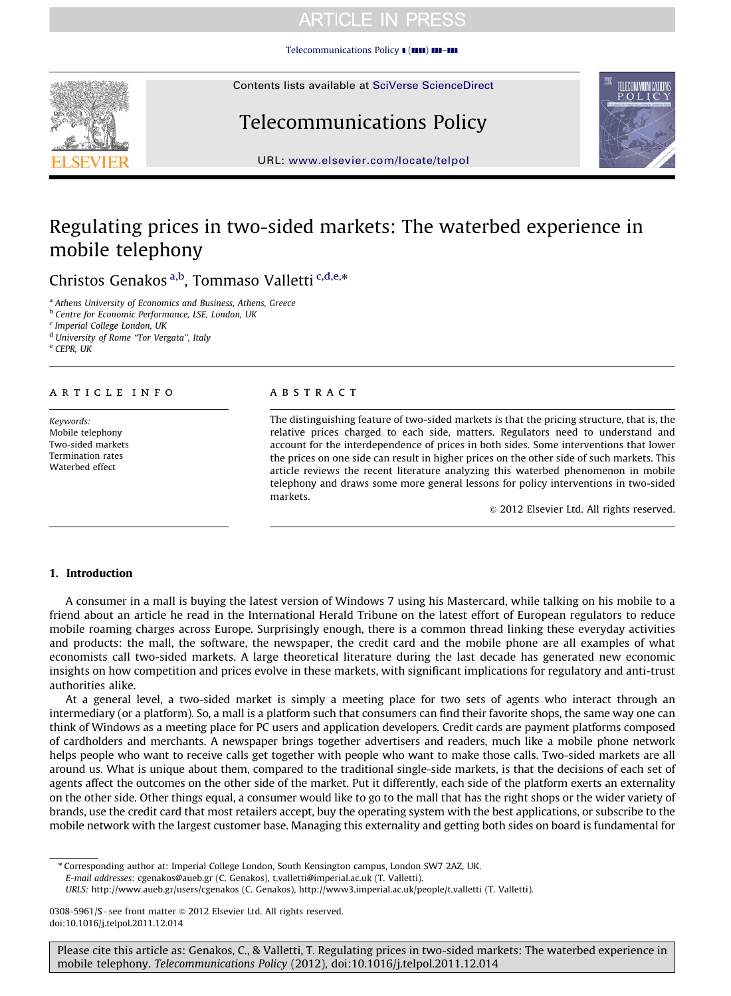[Telecommunications Policy](dx.doi.org/10.1016/j.telpol.2011.12.014)  $\blacksquare$  ( $\blacksquare\blacksquare$ )  $\blacksquare\blacksquare\blacksquare\blacksquare$ 

## Contents lists available at [SciVerse ScienceDirect](www.elsevier.com/locate/telpol)

# Telecommunications Policy



URL: <www.elsevier.com/locate/telpol>

# Regulating prices in two-sided markets: The waterbed experience in mobile telephony

Christos Genakos <sup>a,b</sup>, Tommaso Valletti <sup>c,d,e,</sup>\*

<sup>a</sup> Athens University of Economics and Business, Athens, Greece

<sup>b</sup> Centre for Economic Performance, LSE, London, UK

<sup>c</sup> Imperial College London, UK

<sup>d</sup> University of Rome "Tor Vergata", Italy

<sup>e</sup> CEPR, UK

## article info

Keywords: Mobile telephony Two-sided markets Termination rates Waterbed effect

# **ABSTRACT**

The distinguishing feature of two-sided markets is that the pricing structure, that is, the relative prices charged to each side, matters. Regulators need to understand and account for the interdependence of prices in both sides. Some interventions that lower the prices on one side can result in higher prices on the other side of such markets. This article reviews the recent literature analyzing this waterbed phenomenon in mobile telephony and draws some more general lessons for policy interventions in two-sided markets.

 $© 2012 Elsevier Ltd. All rights reserved.$ 

## 1. Introduction

A consumer in a mall is buying the latest version of Windows 7 using his Mastercard, while talking on his mobile to a friend about an article he read in the International Herald Tribune on the latest effort of European regulators to reduce mobile roaming charges across Europe. Surprisingly enough, there is a common thread linking these everyday activities and products: the mall, the software, the newspaper, the credit card and the mobile phone are all examples of what economists call two-sided markets. A large theoretical literature during the last decade has generated new economic insights on how competition and prices evolve in these markets, with significant implications for regulatory and anti-trust authorities alike.

At a general level, a two-sided market is simply a meeting place for two sets of agents who interact through an intermediary (or a platform). So, a mall is a platform such that consumers can find their favorite shops, the same way one can think of Windows as a meeting place for PC users and application developers. Credit cards are payment platforms composed of cardholders and merchants. A newspaper brings together advertisers and readers, much like a mobile phone network helps people who want to receive calls get together with people who want to make those calls. Two-sided markets are all around us. What is unique about them, compared to the traditional single-side markets, is that the decisions of each set of agents affect the outcomes on the other side of the market. Put it differently, each side of the platform exerts an externality on the other side. Other things equal, a consumer would like to go to the mall that has the right shops or the wider variety of brands, use the credit card that most retailers accept, buy the operating system with the best applications, or subscribe to the mobile network with the largest customer base. Managing this externality and getting both sides on board is fundamental for

<sup>n</sup> Corresponding author at: Imperial College London, South Kensington campus, London SW7 2AZ, UK. E-mail addresses: [cgenakos@aueb.gr \(C. Genakos\)](mailto:cgenakos@aueb.gr), [t.valletti@imperial.ac.uk \(T. Valletti\).](mailto:t.valletti@imperial.ac.uk) URLS: [http://www.aueb.gr/users/cgenakos \(C. Genakos\)](mailto:http://www.aueb.gr/users/cgenakos.3d), [http://www3.imperial.ac.uk/people/t.valletti \(T. Valletti\)](mailto:http://www3.imperial.ac.uk/people/t.valletti).

0308-5961/\$ - see front matter  $\odot$  2012 Elsevier Ltd. All rights reserved. doi:[10.1016/j.telpol.2011.12.014](dx.doi.org/10.1016/j.telpol.2011.12.014)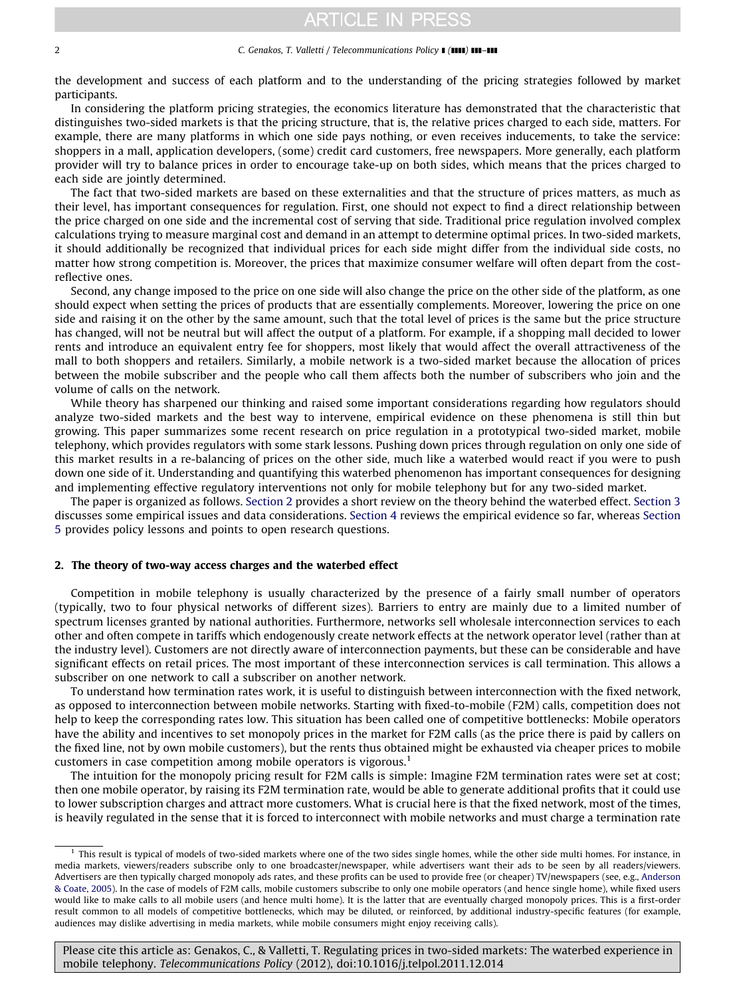<span id="page-1-0"></span>the development and success of each platform and to the understanding of the pricing strategies followed by market participants.

In considering the platform pricing strategies, the economics literature has demonstrated that the characteristic that distinguishes two-sided markets is that the pricing structure, that is, the relative prices charged to each side, matters. For example, there are many platforms in which one side pays nothing, or even receives inducements, to take the service: shoppers in a mall, application developers, (some) credit card customers, free newspapers. More generally, each platform provider will try to balance prices in order to encourage take-up on both sides, which means that the prices charged to each side are jointly determined.

The fact that two-sided markets are based on these externalities and that the structure of prices matters, as much as their level, has important consequences for regulation. First, one should not expect to find a direct relationship between the price charged on one side and the incremental cost of serving that side. Traditional price regulation involved complex calculations trying to measure marginal cost and demand in an attempt to determine optimal prices. In two-sided markets, it should additionally be recognized that individual prices for each side might differ from the individual side costs, no matter how strong competition is. Moreover, the prices that maximize consumer welfare will often depart from the costreflective ones.

Second, any change imposed to the price on one side will also change the price on the other side of the platform, as one should expect when setting the prices of products that are essentially complements. Moreover, lowering the price on one side and raising it on the other by the same amount, such that the total level of prices is the same but the price structure has changed, will not be neutral but will affect the output of a platform. For example, if a shopping mall decided to lower rents and introduce an equivalent entry fee for shoppers, most likely that would affect the overall attractiveness of the mall to both shoppers and retailers. Similarly, a mobile network is a two-sided market because the allocation of prices between the mobile subscriber and the people who call them affects both the number of subscribers who join and the volume of calls on the network.

While theory has sharpened our thinking and raised some important considerations regarding how regulators should analyze two-sided markets and the best way to intervene, empirical evidence on these phenomena is still thin but growing. This paper summarizes some recent research on price regulation in a prototypical two-sided market, mobile telephony, which provides regulators with some stark lessons. Pushing down prices through regulation on only one side of this market results in a re-balancing of prices on the other side, much like a waterbed would react if you were to push down one side of it. Understanding and quantifying this waterbed phenomenon has important consequences for designing and implementing effective regulatory interventions not only for mobile telephony but for any two-sided market.

The paper is organized as follows. Section 2 provides a short review on the theory behind the waterbed effect. [Section 3](#page-3-0) discusses some empirical issues and data considerations. [Section 4](#page-4-0) reviews the empirical evidence so far, whereas [Section](#page-6-0) [5](#page-6-0) provides policy lessons and points to open research questions.

### 2. The theory of two-way access charges and the waterbed effect

Competition in mobile telephony is usually characterized by the presence of a fairly small number of operators (typically, two to four physical networks of different sizes). Barriers to entry are mainly due to a limited number of spectrum licenses granted by national authorities. Furthermore, networks sell wholesale interconnection services to each other and often compete in tariffs which endogenously create network effects at the network operator level (rather than at the industry level). Customers are not directly aware of interconnection payments, but these can be considerable and have significant effects on retail prices. The most important of these interconnection services is call termination. This allows a subscriber on one network to call a subscriber on another network.

To understand how termination rates work, it is useful to distinguish between interconnection with the fixed network, as opposed to interconnection between mobile networks. Starting with fixed-to-mobile (F2M) calls, competition does not help to keep the corresponding rates low. This situation has been called one of competitive bottlenecks: Mobile operators have the ability and incentives to set monopoly prices in the market for F2M calls (as the price there is paid by callers on the fixed line, not by own mobile customers), but the rents thus obtained might be exhausted via cheaper prices to mobile customers in case competition among mobile operators is vigorous.<sup>1</sup>

The intuition for the monopoly pricing result for F2M calls is simple: Imagine F2M termination rates were set at cost; then one mobile operator, by raising its F2M termination rate, would be able to generate additional profits that it could use to lower subscription charges and attract more customers. What is crucial here is that the fixed network, most of the times, is heavily regulated in the sense that it is forced to interconnect with mobile networks and must charge a termination rate

<sup>&</sup>lt;sup>1</sup> This result is typical of models of two-sided markets where one of the two sides single homes, while the other side multi homes. For instance, in media markets, viewers/readers subscribe only to one broadcaster/newspaper, while advertisers want their ads to be seen by all readers/viewers. Advertisers are then typically charged monopoly ads rates, and these profits can be used to provide free (or cheaper) TV/newspapers (see, e.g., [Anderson](#page-7-0) [& Coate, 2005](#page-7-0)). In the case of models of F2M calls, mobile customers subscribe to only one mobile operators (and hence single home), while fixed users would like to make calls to all mobile users (and hence multi home). It is the latter that are eventually charged monopoly prices. This is a first-order result common to all models of competitive bottlenecks, which may be diluted, or reinforced, by additional industry-specific features (for example, audiences may dislike advertising in media markets, while mobile consumers might enjoy receiving calls).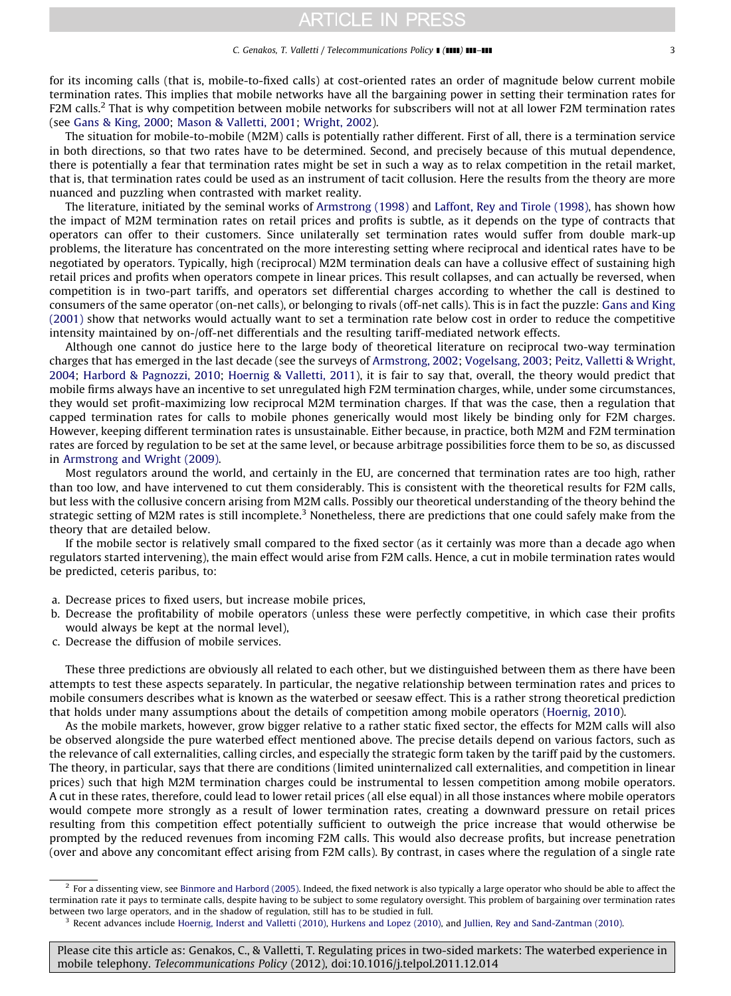for its incoming calls (that is, mobile-to-fixed calls) at cost-oriented rates an order of magnitude below current mobile termination rates. This implies that mobile networks have all the bargaining power in setting their termination rates for F2M calls.2 That is why competition between mobile networks for subscribers will not at all lower F2M termination rates (see [Gans & King, 2000](#page-7-0); [Mason](#page-8-0) [& Valletti, 2001;](#page-8-0) [Wright, 2002](#page-8-0)).

The situation for mobile-to-mobile (M2M) calls is potentially rather different. First of all, there is a termination service in both directions, so that two rates have to be determined. Second, and precisely because of this mutual dependence, there is potentially a fear that termination rates might be set in such a way as to relax competition in the retail market, that is, that termination rates could be used as an instrument of tacit collusion. Here the results from the theory are more nuanced and puzzling when contrasted with market reality.

The literature, initiated by the seminal works of [Armstrong \(1998\)](#page-7-0) and [Laffont, Rey and Tirole \(1998\)](#page-8-0), has shown how the impact of M2M termination rates on retail prices and profits is subtle, as it depends on the type of contracts that operators can offer to their customers. Since unilaterally set termination rates would suffer from double mark-up problems, the literature has concentrated on the more interesting setting where reciprocal and identical rates have to be negotiated by operators. Typically, high (reciprocal) M2M termination deals can have a collusive effect of sustaining high retail prices and profits when operators compete in linear prices. This result collapses, and can actually be reversed, when competition is in two-part tariffs, and operators set differential charges according to whether the call is destined to consumers of the same operator (on-net calls), or belonging to rivals (off-net calls). This is in fact the puzzle: [Gans and King](#page-7-0) [\(2001\)](#page-7-0) show that networks would actually want to set a termination rate below cost in order to reduce the competitive intensity maintained by on-/off-net differentials and the resulting tariff-mediated network effects.

Although one cannot do justice here to the large body of theoretical literature on reciprocal two-way termination charges that has emerged in the last decade (see the surveys of [Armstrong, 2002;](#page-7-0) [Vogelsang, 2003;](#page-8-0) [Peitz, Valletti](#page-8-0) [& Wright,](#page-8-0) [2004](#page-8-0); [Harbord & Pagnozzi, 2010](#page-7-0); [Hoernig & Valletti, 2011](#page-7-0)), it is fair to say that, overall, the theory would predict that mobile firms always have an incentive to set unregulated high F2M termination charges, while, under some circumstances, they would set profit-maximizing low reciprocal M2M termination charges. If that was the case, then a regulation that capped termination rates for calls to mobile phones generically would most likely be binding only for F2M charges. However, keeping different termination rates is unsustainable. Either because, in practice, both M2M and F2M termination rates are forced by regulation to be set at the same level, or because arbitrage possibilities force them to be so, as discussed in [Armstrong and Wright \(2009\).](#page-7-0)

Most regulators around the world, and certainly in the EU, are concerned that termination rates are too high, rather than too low, and have intervened to cut them considerably. This is consistent with the theoretical results for F2M calls, but less with the collusive concern arising from M2M calls. Possibly our theoretical understanding of the theory behind the strategic setting of M2M rates is still incomplete.<sup>3</sup> Nonetheless, there are predictions that one could safely make from the theory that are detailed below.

If the mobile sector is relatively small compared to the fixed sector (as it certainly was more than a decade ago when regulators started intervening), the main effect would arise from F2M calls. Hence, a cut in mobile termination rates would be predicted, ceteris paribus, to:

- a. Decrease prices to fixed users, but increase mobile prices,
- b. Decrease the profitability of mobile operators (unless these were perfectly competitive, in which case their profits would always be kept at the normal level),
- c. Decrease the diffusion of mobile services.

These three predictions are obviously all related to each other, but we distinguished between them as there have been attempts to test these aspects separately. In particular, the negative relationship between termination rates and prices to mobile consumers describes what is known as the waterbed or seesaw effect. This is a rather strong theoretical prediction that holds under many assumptions about the details of competition among mobile operators [\(Hoernig, 2010\)](#page-7-0).

As the mobile markets, however, grow bigger relative to a rather static fixed sector, the effects for M2M calls will also be observed alongside the pure waterbed effect mentioned above. The precise details depend on various factors, such as the relevance of call externalities, calling circles, and especially the strategic form taken by the tariff paid by the customers. The theory, in particular, says that there are conditions (limited uninternalized call externalities, and competition in linear prices) such that high M2M termination charges could be instrumental to lessen competition among mobile operators. A cut in these rates, therefore, could lead to lower retail prices (all else equal) in all those instances where mobile operators would compete more strongly as a result of lower termination rates, creating a downward pressure on retail prices resulting from this competition effect potentially sufficient to outweigh the price increase that would otherwise be prompted by the reduced revenues from incoming F2M calls. This would also decrease profits, but increase penetration (over and above any concomitant effect arising from F2M calls). By contrast, in cases where the regulation of a single rate

 $2$  For a dissenting view, see [Binmore and Harbord \(2005\).](#page-7-0) Indeed, the fixed network is also typically a large operator who should be able to affect the termination rate it pays to terminate calls, despite having to be subject to some regulatory oversight. This problem of bargaining over termination rates between two large operators, and in the shadow of regulation, still has to be studied in full.

<sup>3</sup> Recent advances include [Hoernig, Inderst and Valletti \(2010\)](#page-7-0), [Hurkens and Lopez \(2010\),](#page-7-0) and [Jullien, Rey and Sand-Zantman \(2010\).](#page-8-0)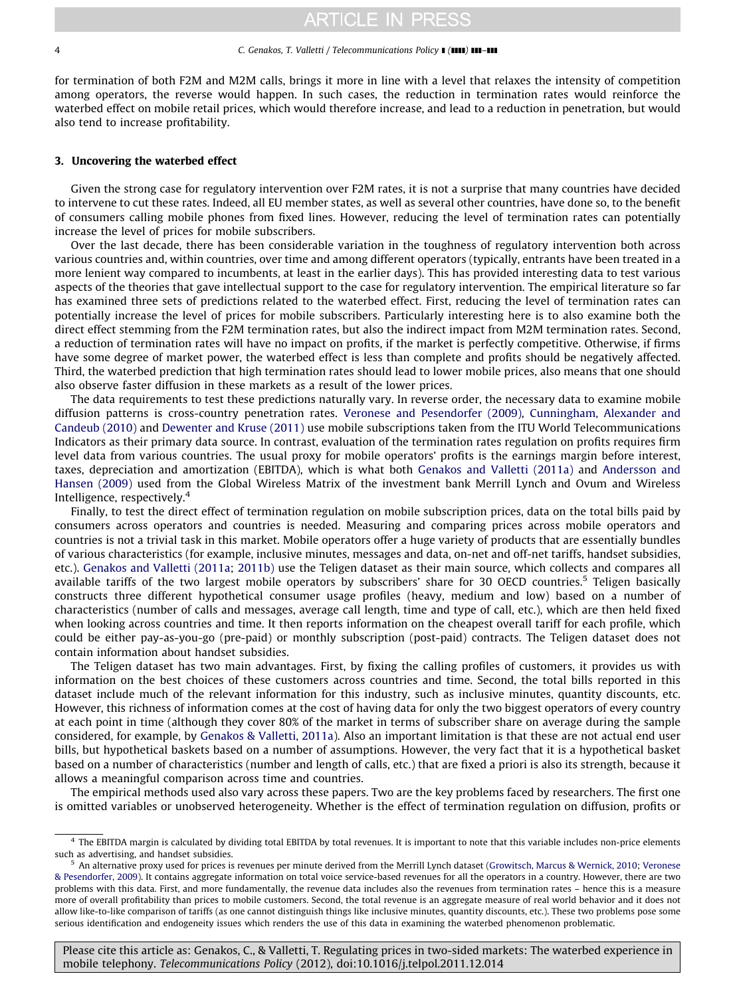<span id="page-3-0"></span>for termination of both F2M and M2M calls, brings it more in line with a level that relaxes the intensity of competition among operators, the reverse would happen. In such cases, the reduction in termination rates would reinforce the waterbed effect on mobile retail prices, which would therefore increase, and lead to a reduction in penetration, but would also tend to increase profitability.

#### 3. Uncovering the waterbed effect

Given the strong case for regulatory intervention over F2M rates, it is not a surprise that many countries have decided to intervene to cut these rates. Indeed, all EU member states, as well as several other countries, have done so, to the benefit of consumers calling mobile phones from fixed lines. However, reducing the level of termination rates can potentially increase the level of prices for mobile subscribers.

Over the last decade, there has been considerable variation in the toughness of regulatory intervention both across various countries and, within countries, over time and among different operators (typically, entrants have been treated in a more lenient way compared to incumbents, at least in the earlier days). This has provided interesting data to test various aspects of the theories that gave intellectual support to the case for regulatory intervention. The empirical literature so far has examined three sets of predictions related to the waterbed effect. First, reducing the level of termination rates can potentially increase the level of prices for mobile subscribers. Particularly interesting here is to also examine both the direct effect stemming from the F2M termination rates, but also the indirect impact from M2M termination rates. Second, a reduction of termination rates will have no impact on profits, if the market is perfectly competitive. Otherwise, if firms have some degree of market power, the waterbed effect is less than complete and profits should be negatively affected. Third, the waterbed prediction that high termination rates should lead to lower mobile prices, also means that one should also observe faster diffusion in these markets as a result of the lower prices.

The data requirements to test these predictions naturally vary. In reverse order, the necessary data to examine mobile diffusion patterns is cross-country penetration rates. [Veronese and Pesendorfer \(2009\),](#page-8-0) [Cunningham, Alexander and](#page-7-0) [Candeub \(2010\)](#page-7-0) and [Dewenter and Kruse \(2011\)](#page-7-0) use mobile subscriptions taken from the ITU World Telecommunications Indicators as their primary data source. In contrast, evaluation of the termination rates regulation on profits requires firm level data from various countries. The usual proxy for mobile operators' profits is the earnings margin before interest, taxes, depreciation and amortization (EBITDA), which is what both [Genakos and Valletti \(2011a\)](#page-7-0) and [Andersson and](#page-7-0) [Hansen \(2009\)](#page-7-0) used from the Global Wireless Matrix of the investment bank Merrill Lynch and Ovum and Wireless Intelligence, respectively.4

Finally, to test the direct effect of termination regulation on mobile subscription prices, data on the total bills paid by consumers across operators and countries is needed. Measuring and comparing prices across mobile operators and countries is not a trivial task in this market. Mobile operators offer a huge variety of products that are essentially bundles of various characteristics (for example, inclusive minutes, messages and data, on-net and off-net tariffs, handset subsidies, etc.). [Genakos and Valletti \(2011a;](#page-7-0) [2011b\)](#page-7-0) use the Teligen dataset as their main source, which collects and compares all available tariffs of the two largest mobile operators by subscribers' share for 30 OECD countries.<sup>5</sup> Teligen basically constructs three different hypothetical consumer usage profiles (heavy, medium and low) based on a number of characteristics (number of calls and messages, average call length, time and type of call, etc.), which are then held fixed when looking across countries and time. It then reports information on the cheapest overall tariff for each profile, which could be either pay-as-you-go (pre-paid) or monthly subscription (post-paid) contracts. The Teligen dataset does not contain information about handset subsidies.

The Teligen dataset has two main advantages. First, by fixing the calling profiles of customers, it provides us with information on the best choices of these customers across countries and time. Second, the total bills reported in this dataset include much of the relevant information for this industry, such as inclusive minutes, quantity discounts, etc. However, this richness of information comes at the cost of having data for only the two biggest operators of every country at each point in time (although they cover 80% of the market in terms of subscriber share on average during the sample considered, for example, by [Genakos](#page-7-0) [& Valletti, 2011a](#page-7-0)). Also an important limitation is that these are not actual end user bills, but hypothetical baskets based on a number of assumptions. However, the very fact that it is a hypothetical basket based on a number of characteristics (number and length of calls, etc.) that are fixed a priori is also its strength, because it allows a meaningful comparison across time and countries.

The empirical methods used also vary across these papers. Two are the key problems faced by researchers. The first one is omitted variables or unobserved heterogeneity. Whether is the effect of termination regulation on diffusion, profits or

 $^4$  The EBITDA margin is calculated by dividing total EBITDA by total revenues. It is important to note that this variable includes non-price elements such as advertising, and handset subsidies.

<sup>5</sup> An alternative proxy used for prices is revenues per minute derived from the Merrill Lynch dataset ([Growitsch, Marcus & Wernick, 2010;](#page-7-0) [Veronese](#page-8-0) [& Pesendorfer, 2009\)](#page-8-0). It contains aggregate information on total voice service-based revenues for all the operators in a country. However, there are two problems with this data. First, and more fundamentally, the revenue data includes also the revenues from termination rates – hence this is a measure more of overall profitability than prices to mobile customers. Second, the total revenue is an aggregate measure of real world behavior and it does not allow like-to-like comparison of tariffs (as one cannot distinguish things like inclusive minutes, quantity discounts, etc.). These two problems pose some serious identification and endogeneity issues which renders the use of this data in examining the waterbed phenomenon problematic.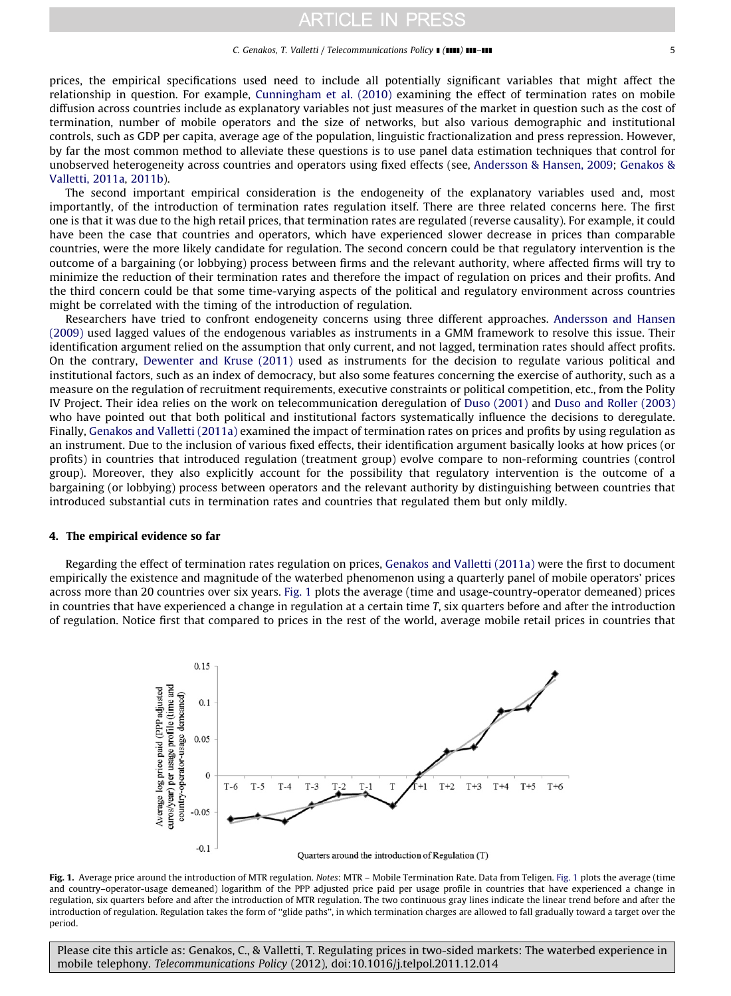#### C. Genakos, T. Valletti / Telecommunications Policy **[(1011) 111-111** 55

<span id="page-4-0"></span>prices, the empirical specifications used need to include all potentially significant variables that might affect the relationship in question. For example, [Cunningham et al. \(2010\)](#page-7-0) examining the effect of termination rates on mobile diffusion across countries include as explanatory variables not just measures of the market in question such as the cost of termination, number of mobile operators and the size of networks, but also various demographic and institutional controls, such as GDP per capita, average age of the population, linguistic fractionalization and press repression. However, by far the most common method to alleviate these questions is to use panel data estimation techniques that control for unobserved heterogeneity across countries and operators using fixed effects (see, [Andersson & Hansen, 2009;](#page-7-0) [Genakos](#page-7-0) & [Valletti, 2011a,](#page-7-0) [2011b\)](#page-7-0).

The second important empirical consideration is the endogeneity of the explanatory variables used and, most importantly, of the introduction of termination rates regulation itself. There are three related concerns here. The first one is that it was due to the high retail prices, that termination rates are regulated (reverse causality). For example, it could have been the case that countries and operators, which have experienced slower decrease in prices than comparable countries, were the more likely candidate for regulation. The second concern could be that regulatory intervention is the outcome of a bargaining (or lobbying) process between firms and the relevant authority, where affected firms will try to minimize the reduction of their termination rates and therefore the impact of regulation on prices and their profits. And the third concern could be that some time-varying aspects of the political and regulatory environment across countries might be correlated with the timing of the introduction of regulation.

Researchers have tried to confront endogeneity concerns using three different approaches. [Andersson and Hansen](#page-7-0) [\(2009\)](#page-7-0) used lagged values of the endogenous variables as instruments in a GMM framework to resolve this issue. Their identification argument relied on the assumption that only current, and not lagged, termination rates should affect profits. On the contrary, [Dewenter and Kruse \(2011\)](#page-7-0) used as instruments for the decision to regulate various political and institutional factors, such as an index of democracy, but also some features concerning the exercise of authority, such as a measure on the regulation of recruitment requirements, executive constraints or political competition, etc., from the Polity IV Project. Their idea relies on the work on telecommunication deregulation of [Duso \(2001\)](#page-7-0) and [Duso and Roller \(2003\)](#page-7-0) who have pointed out that both political and institutional factors systematically influence the decisions to deregulate. Finally, [Genakos and Valletti \(2011a\)](#page-7-0) examined the impact of termination rates on prices and profits by using regulation as an instrument. Due to the inclusion of various fixed effects, their identification argument basically looks at how prices (or profits) in countries that introduced regulation (treatment group) evolve compare to non-reforming countries (control group). Moreover, they also explicitly account for the possibility that regulatory intervention is the outcome of a bargaining (or lobbying) process between operators and the relevant authority by distinguishing between countries that introduced substantial cuts in termination rates and countries that regulated them but only mildly.

### 4. The empirical evidence so far

Regarding the effect of termination rates regulation on prices, [Genakos and Valletti \(2011a\)](#page-7-0) were the first to document empirically the existence and magnitude of the waterbed phenomenon using a quarterly panel of mobile operators' prices across more than 20 countries over six years. Fig. 1 plots the average (time and usage-country-operator demeaned) prices in countries that have experienced a change in regulation at a certain time  $T$ , six quarters before and after the introduction of regulation. Notice first that compared to prices in the rest of the world, average mobile retail prices in countries that



Fig. 1. Average price around the introduction of MTR regulation. Notes: MTR - Mobile Termination Rate. Data from Teligen. Fig. 1 plots the average (time and country–operator-usage demeaned) logarithm of the PPP adjusted price paid per usage profile in countries that have experienced a change in regulation, six quarters before and after the introduction of MTR regulation. The two continuous gray lines indicate the linear trend before and after the introduction of regulation. Regulation takes the form of ''glide paths'', in which termination charges are allowed to fall gradually toward a target over the period.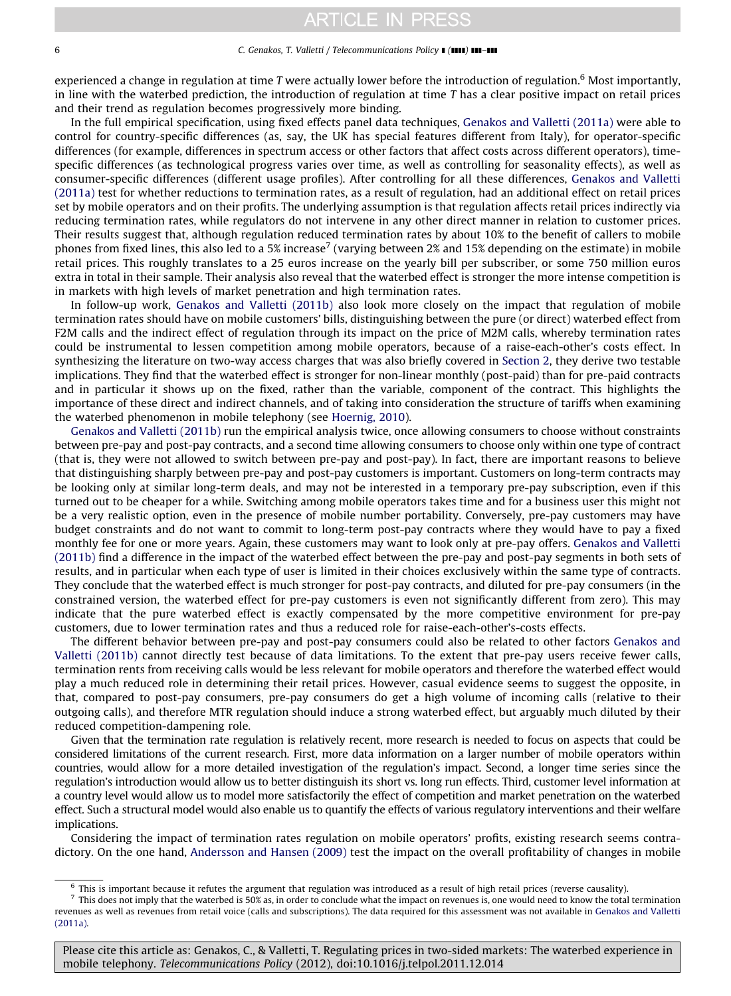#### 6 **C. Genakos, T. Valletti / Telecommunications Policy | (1111) 111-111**

experienced a change in regulation at time T were actually lower before the introduction of regulation.<sup>6</sup> Most importantly, in line with the waterbed prediction, the introduction of regulation at time  $T$  has a clear positive impact on retail prices and their trend as regulation becomes progressively more binding.

In the full empirical specification, using fixed effects panel data techniques, [Genakos and Valletti \(2011a\)](#page-7-0) were able to control for country-specific differences (as, say, the UK has special features different from Italy), for operator-specific differences (for example, differences in spectrum access or other factors that affect costs across different operators), timespecific differences (as technological progress varies over time, as well as controlling for seasonality effects), as well as consumer-specific differences (different usage profiles). After controlling for all these differences, [Genakos and Valletti](#page-7-0) [\(2011a\)](#page-7-0) test for whether reductions to termination rates, as a result of regulation, had an additional effect on retail prices set by mobile operators and on their profits. The underlying assumption is that regulation affects retail prices indirectly via reducing termination rates, while regulators do not intervene in any other direct manner in relation to customer prices. Their results suggest that, although regulation reduced termination rates by about 10% to the benefit of callers to mobile phones from fixed lines, this also led to a 5% increase<sup>7</sup> (varying between 2% and 15% depending on the estimate) in mobile retail prices. This roughly translates to a 25 euros increase on the yearly bill per subscriber, or some 750 million euros extra in total in their sample. Their analysis also reveal that the waterbed effect is stronger the more intense competition is in markets with high levels of market penetration and high termination rates.

In follow-up work, [Genakos and Valletti \(2011b\)](#page-7-0) also look more closely on the impact that regulation of mobile termination rates should have on mobile customers' bills, distinguishing between the pure (or direct) waterbed effect from F2M calls and the indirect effect of regulation through its impact on the price of M2M calls, whereby termination rates could be instrumental to lessen competition among mobile operators, because of a raise-each-other's costs effect. In synthesizing the literature on two-way access charges that was also briefly covered in [Section 2](#page-1-0), they derive two testable implications. They find that the waterbed effect is stronger for non-linear monthly (post-paid) than for pre-paid contracts and in particular it shows up on the fixed, rather than the variable, component of the contract. This highlights the importance of these direct and indirect channels, and of taking into consideration the structure of tariffs when examining the waterbed phenomenon in mobile telephony (see [Hoernig, 2010\)](#page-7-0).

[Genakos and Valletti \(2011b\)](#page-7-0) run the empirical analysis twice, once allowing consumers to choose without constraints between pre-pay and post-pay contracts, and a second time allowing consumers to choose only within one type of contract (that is, they were not allowed to switch between pre-pay and post-pay). In fact, there are important reasons to believe that distinguishing sharply between pre-pay and post-pay customers is important. Customers on long-term contracts may be looking only at similar long-term deals, and may not be interested in a temporary pre-pay subscription, even if this turned out to be cheaper for a while. Switching among mobile operators takes time and for a business user this might not be a very realistic option, even in the presence of mobile number portability. Conversely, pre-pay customers may have budget constraints and do not want to commit to long-term post-pay contracts where they would have to pay a fixed monthly fee for one or more years. Again, these customers may want to look only at pre-pay offers. [Genakos and Valletti](#page-7-0) [\(2011b\)](#page-7-0) find a difference in the impact of the waterbed effect between the pre-pay and post-pay segments in both sets of results, and in particular when each type of user is limited in their choices exclusively within the same type of contracts. They conclude that the waterbed effect is much stronger for post-pay contracts, and diluted for pre-pay consumers (in the constrained version, the waterbed effect for pre-pay customers is even not significantly different from zero). This may indicate that the pure waterbed effect is exactly compensated by the more competitive environment for pre-pay customers, due to lower termination rates and thus a reduced role for raise-each-other's-costs effects.

The different behavior between pre-pay and post-pay consumers could also be related to other factors [Genakos and](#page-7-0) [Valletti \(2011b\)](#page-7-0) cannot directly test because of data limitations. To the extent that pre-pay users receive fewer calls, termination rents from receiving calls would be less relevant for mobile operators and therefore the waterbed effect would play a much reduced role in determining their retail prices. However, casual evidence seems to suggest the opposite, in that, compared to post-pay consumers, pre-pay consumers do get a high volume of incoming calls (relative to their outgoing calls), and therefore MTR regulation should induce a strong waterbed effect, but arguably much diluted by their reduced competition-dampening role.

Given that the termination rate regulation is relatively recent, more research is needed to focus on aspects that could be considered limitations of the current research. First, more data information on a larger number of mobile operators within countries, would allow for a more detailed investigation of the regulation's impact. Second, a longer time series since the regulation's introduction would allow us to better distinguish its short vs. long run effects. Third, customer level information at a country level would allow us to model more satisfactorily the effect of competition and market penetration on the waterbed effect. Such a structural model would also enable us to quantify the effects of various regulatory interventions and their welfare implications.

Considering the impact of termination rates regulation on mobile operators' profits, existing research seems contradictory. On the one hand, [Andersson and Hansen \(2009\)](#page-7-0) test the impact on the overall profitability of changes in mobile

 $6$  This is important because it refutes the argument that regulation was introduced as a result of high retail prices (reverse causality).

 $^7$  This does not imply that the waterbed is 50% as, in order to conclude what the impact on revenues is, one would need to know the total termination revenues as well as revenues from retail voice (calls and subscriptions). The data required for this assessment was not available in [Genakos and Valletti](#page-7-0) [\(2011a\).](#page-7-0)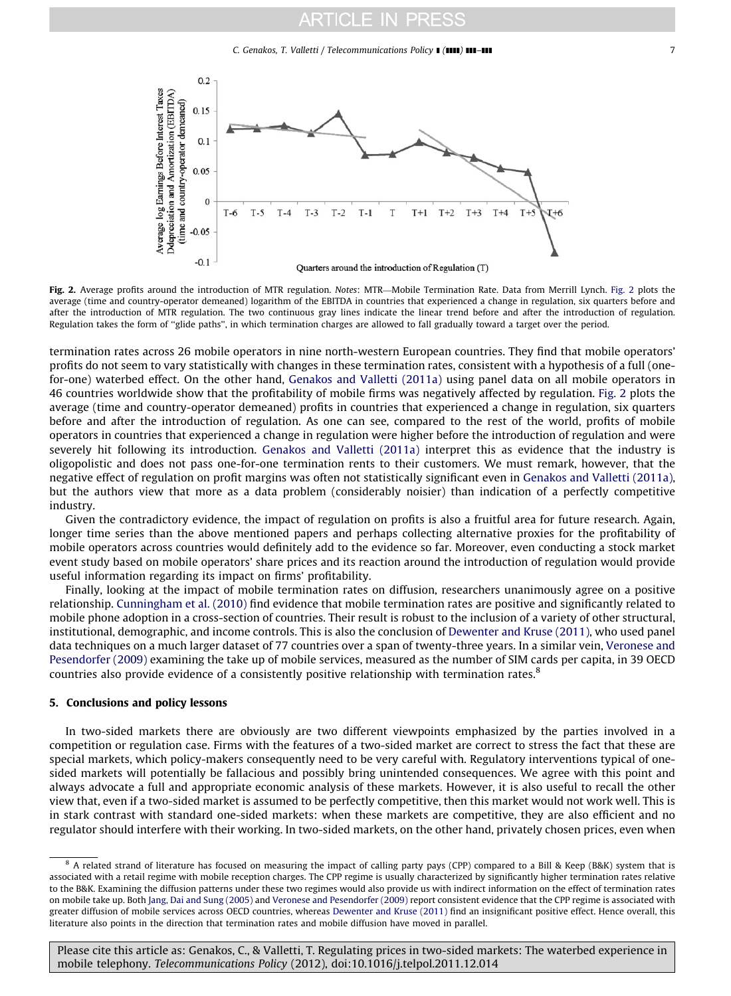C. Genakos, T. Valletti / Telecommunications Policy ] (]]]]) ]]]–]]] 7

<span id="page-6-0"></span>

Fig. 2. Average profits around the introduction of MTR regulation. Notes: MTR—Mobile Termination Rate. Data from Merrill Lynch. Fig. 2 plots the average (time and country-operator demeaned) logarithm of the EBITDA in countries that experienced a change in regulation, six quarters before and after the introduction of MTR regulation. The two continuous gray lines indicate the linear trend before and after the introduction of regulation. Regulation takes the form of ''glide paths'', in which termination charges are allowed to fall gradually toward a target over the period.

termination rates across 26 mobile operators in nine north-western European countries. They find that mobile operators' profits do not seem to vary statistically with changes in these termination rates, consistent with a hypothesis of a full (onefor-one) waterbed effect. On the other hand, [Genakos and Valletti \(2011a\)](#page-7-0) using panel data on all mobile operators in 46 countries worldwide show that the profitability of mobile firms was negatively affected by regulation. Fig. 2 plots the average (time and country-operator demeaned) profits in countries that experienced a change in regulation, six quarters before and after the introduction of regulation. As one can see, compared to the rest of the world, profits of mobile operators in countries that experienced a change in regulation were higher before the introduction of regulation and were severely hit following its introduction. [Genakos and Valletti \(2011a\)](#page-7-0) interpret this as evidence that the industry is oligopolistic and does not pass one-for-one termination rents to their customers. We must remark, however, that the negative effect of regulation on profit margins was often not statistically significant even in [Genakos and Valletti \(2011a\)](#page-7-0), but the authors view that more as a data problem (considerably noisier) than indication of a perfectly competitive industry.

Given the contradictory evidence, the impact of regulation on profits is also a fruitful area for future research. Again, longer time series than the above mentioned papers and perhaps collecting alternative proxies for the profitability of mobile operators across countries would definitely add to the evidence so far. Moreover, even conducting a stock market event study based on mobile operators' share prices and its reaction around the introduction of regulation would provide useful information regarding its impact on firms' profitability.

Finally, looking at the impact of mobile termination rates on diffusion, researchers unanimously agree on a positive relationship. [Cunningham et al. \(2010\)](#page-7-0) find evidence that mobile termination rates are positive and significantly related to mobile phone adoption in a cross-section of countries. Their result is robust to the inclusion of a variety of other structural, institutional, demographic, and income controls. This is also the conclusion of [Dewenter and Kruse \(2011\)](#page-7-0), who used panel data techniques on a much larger dataset of 77 countries over a span of twenty-three years. In a similar vein, [Veronese and](#page-8-0) [Pesendorfer \(2009\)](#page-8-0) examining the take up of mobile services, measured as the number of SIM cards per capita, in 39 OECD countries also provide evidence of a consistently positive relationship with termination rates.<sup>8</sup>

## 5. Conclusions and policy lessons

In two-sided markets there are obviously are two different viewpoints emphasized by the parties involved in a competition or regulation case. Firms with the features of a two-sided market are correct to stress the fact that these are special markets, which policy-makers consequently need to be very careful with. Regulatory interventions typical of onesided markets will potentially be fallacious and possibly bring unintended consequences. We agree with this point and always advocate a full and appropriate economic analysis of these markets. However, it is also useful to recall the other view that, even if a two-sided market is assumed to be perfectly competitive, then this market would not work well. This is in stark contrast with standard one-sided markets: when these markets are competitive, they are also efficient and no regulator should interfere with their working. In two-sided markets, on the other hand, privately chosen prices, even when

<sup>&</sup>lt;sup>8</sup> A related strand of literature has focused on measuring the impact of calling party pays (CPP) compared to a Bill & Keep (B&K) system that is associated with a retail regime with mobile reception charges. The CPP regime is usually characterized by significantly higher termination rates relative to the B&K. Examining the diffusion patterns under these two regimes would also provide us with indirect information on the effect of termination rates on mobile take up. Both [Jang, Dai and Sung \(2005\)](#page-8-0) and [Veronese and Pesendorfer \(2009\)](#page-8-0) report consistent evidence that the CPP regime is associated with greater diffusion of mobile services across OECD countries, whereas [Dewenter and Kruse \(2011\)](#page-7-0) find an insignificant positive effect. Hence overall, this literature also points in the direction that termination rates and mobile diffusion have moved in parallel.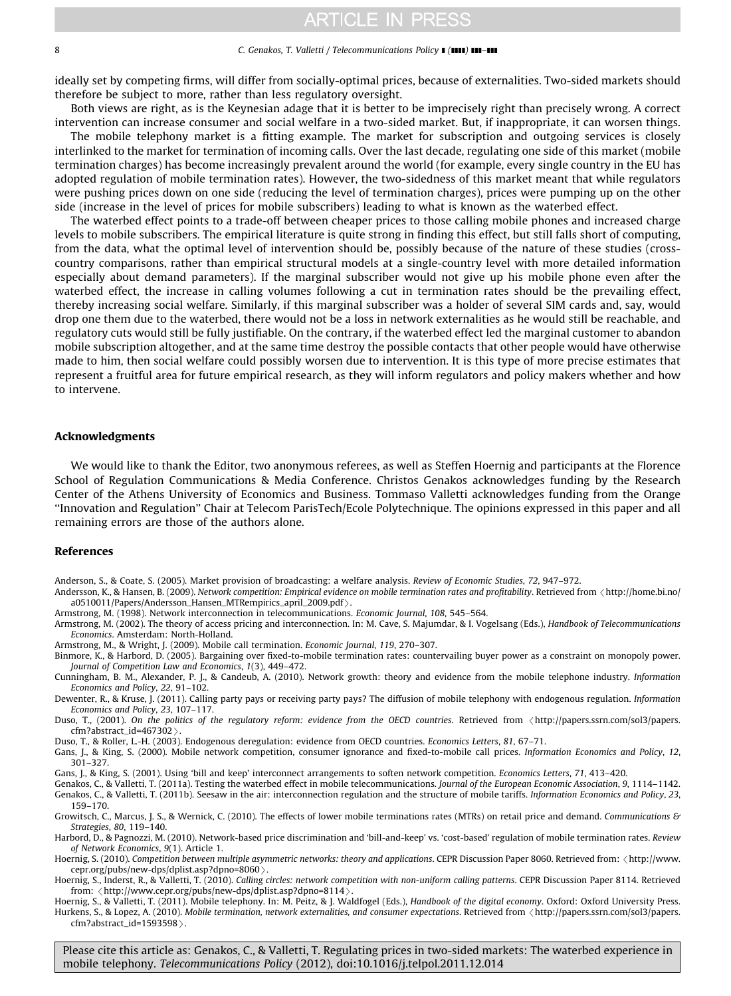#### <span id="page-7-0"></span>8 C. Genakos, T. Valletti / Telecommunications Policy **[4011]** [11-11]

ideally set by competing firms, will differ from socially-optimal prices, because of externalities. Two-sided markets should therefore be subject to more, rather than less regulatory oversight.

Both views are right, as is the Keynesian adage that it is better to be imprecisely right than precisely wrong. A correct intervention can increase consumer and social welfare in a two-sided market. But, if inappropriate, it can worsen things.

The mobile telephony market is a fitting example. The market for subscription and outgoing services is closely interlinked to the market for termination of incoming calls. Over the last decade, regulating one side of this market (mobile termination charges) has become increasingly prevalent around the world (for example, every single country in the EU has adopted regulation of mobile termination rates). However, the two-sidedness of this market meant that while regulators were pushing prices down on one side (reducing the level of termination charges), prices were pumping up on the other side (increase in the level of prices for mobile subscribers) leading to what is known as the waterbed effect.

The waterbed effect points to a trade-off between cheaper prices to those calling mobile phones and increased charge levels to mobile subscribers. The empirical literature is quite strong in finding this effect, but still falls short of computing, from the data, what the optimal level of intervention should be, possibly because of the nature of these studies (crosscountry comparisons, rather than empirical structural models at a single-country level with more detailed information especially about demand parameters). If the marginal subscriber would not give up his mobile phone even after the waterbed effect, the increase in calling volumes following a cut in termination rates should be the prevailing effect, thereby increasing social welfare. Similarly, if this marginal subscriber was a holder of several SIM cards and, say, would drop one them due to the waterbed, there would not be a loss in network externalities as he would still be reachable, and regulatory cuts would still be fully justifiable. On the contrary, if the waterbed effect led the marginal customer to abandon mobile subscription altogether, and at the same time destroy the possible contacts that other people would have otherwise made to him, then social welfare could possibly worsen due to intervention. It is this type of more precise estimates that represent a fruitful area for future empirical research, as they will inform regulators and policy makers whether and how to intervene.

#### Acknowledgments

We would like to thank the Editor, two anonymous referees, as well as Steffen Hoernig and participants at the Florence School of Regulation Communications & Media Conference. Christos Genakos acknowledges funding by the Research Center of the Athens University of Economics and Business. Tommaso Valletti acknowledges funding from the Orange ''Innovation and Regulation'' Chair at Telecom ParisTech/Ecole Polytechnique. The opinions expressed in this paper and all remaining errors are those of the authors alone.

#### References

Anderson, S., & Coate, S. (2005). Market provision of broadcasting: a welfare analysis. Review of Economic Studies, 72, 947–972.

Andersson, K., & Hansen, B. (2009). Network competition: Empirical evidence on mobile termination rates and profitability. Retrieved from  $\langle$  [http://home.bi.no/](http://home.bi.no/a0510011/Papers/Andersson_Hansen_MTRempirics_april_2009.pdf) [a0510011/Papers/Andersson\\_Hansen\\_MTRempirics\\_april\\_2009.pdf](http://home.bi.no/a0510011/Papers/Andersson_Hansen_MTRempirics_april_2009.pdf)>.

Armstrong, M. (1998). Network interconnection in telecommunications. Economic Journal, 108, 545–564.

Armstrong, M. (2002). The theory of access pricing and interconnection. In: M. Cave, S. Majumdar, & I. Vogelsang (Eds.), Handbook of Telecommunications Economics. Amsterdam: North-Holland.

Armstrong, M., & Wright, J. (2009). Mobile call termination. Economic Journal, 119, 270–307.

Binmore, K., & Harbord, D. (2005). Bargaining over fixed-to-mobile termination rates: countervailing buyer power as a constraint on monopoly power. Journal of Competition Law and Economics, 1(3), 449–472.

Cunningham, B. M., Alexander, P. J., & Candeub, A. (2010). Network growth: theory and evidence from the mobile telephone industry. Information Economics and Policy, 22, 91–102.

Dewenter, R., & Kruse, J. (2011). Calling party pays or receiving party pays? The diffusion of mobile telephony with endogenous regulation. Information Economics and Policy, 23, 107–117.

Duso, T., (2001). On the politics of the regulatory reform: evidence from the OECD countries. Retrieved from  $\langle$ [http://papers.ssrn.com/sol3/papers.](http://papers.ssrn.com/sol3/papers.cfm?abstract_id=467302) [cfm?abstract\\_id=467302](http://papers.ssrn.com/sol3/papers.cfm?abstract_id=467302) $>$ 

Duso, T., & Roller, L.-H. (2003). Endogenous deregulation: evidence from OECD countries. Economics Letters, 81, 67–71.

Gans, J., & King, S. (2000). Mobile network competition, consumer ignorance and fixed-to-mobile call prices. Information Economics and Policy, 12, 301–327.

Gans, J., & King, S. (2001). Using 'bill and keep' interconnect arrangements to soften network competition. Economics Letters, 71, 413–420.

Genakos, C., & Valletti, T. (2011a). Testing the waterbed effect in mobile telecommunications. Journal of the European Economic Association, 9, 1114–1142. Genakos, C., & Valletti, T. (2011b). Seesaw in the air: interconnection regulation and the structure of mobile tariffs. Information Economics and Policy, 23, 159–170.

Growitsch, C., Marcus, J. S., & Wernick, C. (2010). The effects of lower mobile terminations rates (MTRs) on retail price and demand. Communications  $\mathcal{F}$ Strategies, 80, 119–140.

Harbord, D., & Pagnozzi, M. (2010). Network-based price discrimination and 'bill-and-keep' vs. 'cost-based' regulation of mobile termination rates. Review of Network Economics, 9(1). Article 1.

Hoernig, S. (2010). Competition between multiple asymmetric networks: theory and applications. CEPR Discussion Paper 8060. Retrieved from: <[http://www.](http://www.cepr.org/pubs/new-dps/dplist.asp?dpno=8060) [cepr.org/pubs/new-dps/dplist.asp?dpno=8060](http://www.cepr.org/pubs/new-dps/dplist.asp?dpno=8060)  $>$ 

Hoernig, S., Inderst, R., & Valletti, T. (2010). Calling circles: network competition with non-uniform calling patterns. CEPR Discussion Paper 8114. Retrieved from:  $\langle$ <http://www.cepr.org/pubs/new-dps/dplist.asp?dpno=8114> $\rangle$ 

Hoernig, S., & Valletti, T. (2011). Mobile telephony. In: M. Peitz, & J. Waldfogel (Eds.), Handbook of the digital economy. Oxford: Oxford University Press. Hurkens, S., & Lopez, A. (2010). Mobile termination, network externalities, and consumer expectations. Retrieved from  $\langle$ [http://papers.ssrn.com/sol3/papers.](http://papers.ssrn.com/sol3/papers.cfm?abstract_id=1593598)  $cfm?abstract_id=1593598$ .